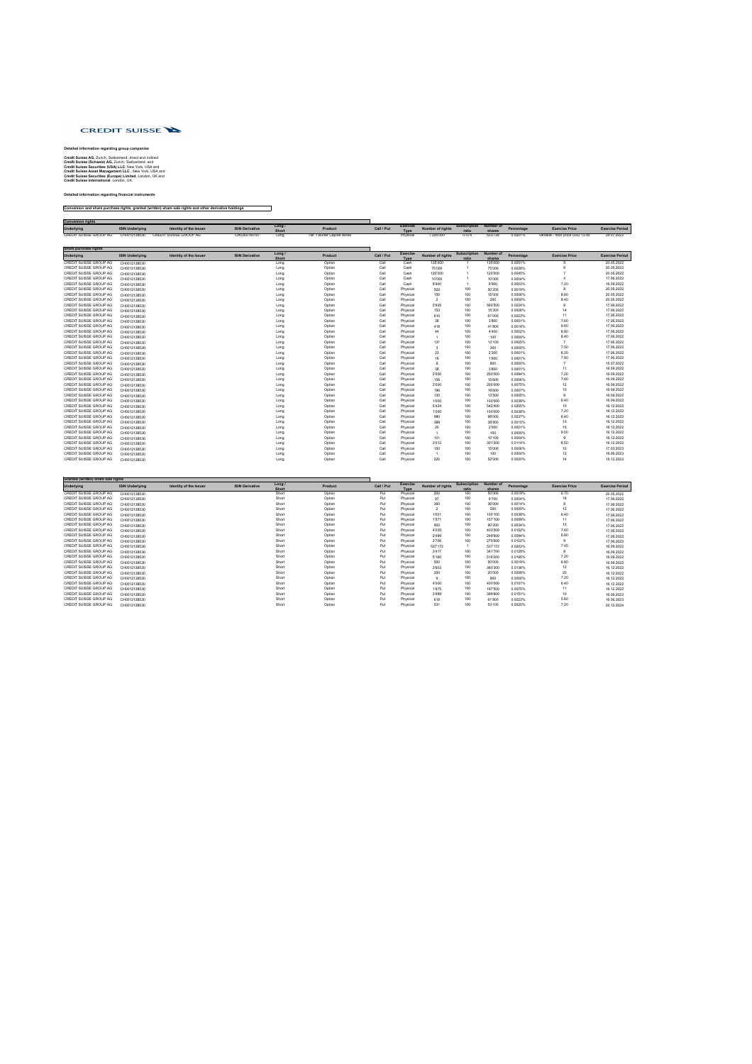

## **Detailed information regarding group companies**

**Credit Suisse AG,** Zurich, Switzerland, direct and indirect **Credit Suisse (Schweiz) AG,** Zurich, Switzerland, and **Credit Suisse Securities (USA) LLC**, New York, USA and **Credit Suisse Asset Management LLC**., New York, USA and **Credit Suisse Securities (Europe) Limited**, London, UK and **Credit Suisse International**, London, UK.

## **Detailed information regarding financial instruments**

## **Conversion and share purchase rights, granted (written) share sale rights and other derivative holdings**

| <b>Conversion rights</b> |                        |                               |                        |                      |                             |            |                              |                         |                                        |         |            |                                  |                        |
|--------------------------|------------------------|-------------------------------|------------------------|----------------------|-----------------------------|------------|------------------------------|-------------------------|----------------------------------------|---------|------------|----------------------------------|------------------------|
| Underlying               | <b>ISIN Underlying</b> | <b>Identity of the Issuer</b> | <b>ISIN Derivative</b> | Long<br><b>Short</b> | Product                     | Call / Put | <b>Exercis</b><br><b>IVP</b> | <b>Number of rights</b> | <b>Subscription Number of</b><br>ratio | shares  | Percentage | <b>Exercise Price</b>            | <b>Exercise Period</b> |
| CREDIT SUISSE GROUP AG   | CH0012138530           | CREDIT SUISSE GROUP AG        | CH0352765157           | Long                 | Tier 1 Buffer Capital Notes |            | Physica.                     | 7'200'000               | 0.074                                  | 533'728 | 0.0201%    | variable - floor price USD 13.45 | 29.07.2022             |

| Share purchase rights         |                        |                               |                        |                        |                |            |                                |                         |                              |                            |            |                       |                        |
|-------------------------------|------------------------|-------------------------------|------------------------|------------------------|----------------|------------|--------------------------------|-------------------------|------------------------------|----------------------------|------------|-----------------------|------------------------|
| <b>Underlying</b>             | <b>ISIN Underlying</b> | <b>Identity of the Issuer</b> | <b>ISIN Derivative</b> | Long /<br><b>Short</b> | <b>Product</b> | Call / Put | <b>Exercise</b><br><b>Type</b> | <b>Number of rights</b> | <b>Subscription</b><br>ratio | <b>Number of</b><br>shares | Percentage | <b>Exercise Price</b> | <b>Exercise Period</b> |
| CREDIT SUISSE GROUP AG        | CH0012138530           |                               |                        | Long                   | Option         | Call       | Cash                           | 135'000                 |                              | 135'000                    | 0.0051%    |                       | 20.05.2022             |
| CREDIT SUISSE GROUP AG        | CH0012138530           |                               |                        | Long                   | Option         | Call       | Cash                           | 75'000                  |                              | 75'000                     | 0.0028%    |                       | 20.05.2022             |
| CREDIT SUISSE GROUP AG        | CH0012138530           |                               |                        | Long                   | Option         | Call       | Cash                           | 120'000                 |                              | 120'000                    | 0.0045%    |                       | 20.05.2022             |
| CREDIT SUISSE GROUP AG        | CH0012138530           |                               |                        | Long                   | Option         | Call       | Cash                           | 10'000                  |                              | 10'000                     | 0.0004%    |                       | 17.06.2022             |
| CREDIT SUISSE GROUP AG        | CH0012138530           |                               |                        | Long                   | Option         | Call       | Cash                           | 8'900                   |                              | 8'900                      | 0.0003%    | 7.20                  | 16.09.2022             |
| <b>CREDIT SUISSE GROUP AG</b> | CH0012138530           |                               |                        | Long                   | Option         | Call       | Physical                       | 502                     | 100                          | 50'200                     | 0.0019%    |                       | 20.05.2022             |
| <b>CREDIT SUISSE GROUP AG</b> | CH0012138530           |                               |                        | Long                   | Option         | Call       | Physical                       | 150                     | 100                          | 15'000                     | 0.0006%    | 8.60                  | 20.05.2022             |
| <b>CREDIT SUISSE GROUP AG</b> | CH0012138530           |                               |                        | Long                   | Option         | Call       | Physical                       | $\overline{2}$          | 100                          | 200                        | 0.0000%    | 8.40                  | 20.05.2022             |
| CREDIT SUISSE GROUP AG        | CH0012138530           |                               |                        | Long                   | Option         | Call       | Physical                       | 5'935                   | 100                          | 593'500                    | 0.0224%    |                       | 17.06.2022             |
| CREDIT SUISSE GROUP AG        | CH0012138530           |                               |                        | Long                   | Option         | Call       | Physical                       | 153                     | 100                          | 15'300                     | 0.0006%    | 14                    | 17.06.2022             |
| <b>CREDIT SUISSE GROUP AG</b> | CH0012138530           |                               |                        | Long                   | Option         | Call       | Physical                       | 610                     | 100                          | 61'000                     | 0.0023%    |                       | 17.06.2022             |
| <b>CREDIT SUISSE GROUP AG</b> | CH0012138530           |                               |                        | Long                   | Option         | Call       | Physical                       | 38                      | 100                          | 3'800                      | 0.0001%    | 7.60                  | 17.06.2022             |
| <b>CREDIT SUISSE GROUP AG</b> | CH0012138530           |                               |                        | Long                   | Option         | Call       | Physical                       | 418                     | 100                          | 41'800                     | 0.0016%    | 9.60                  | 17.06.2022             |
| CREDIT SUISSE GROUP AG        | CH0012138530           |                               |                        | Long                   | Option         | Call       | Physical                       | 44                      | 100                          | 4'400                      | 0.0002%    | 8.80                  | 17.06.2022             |
| <b>CREDIT SUISSE GROUP AG</b> | CH0012138530           |                               |                        | Long                   | Option         | Call       | Physical                       |                         | 100                          | 100                        | 0.0000%    | 8.40                  | 17.06.2022             |
| <b>CREDIT SUISSE GROUP AG</b> | CH0012138530           |                               |                        | Long                   | Option         | Call       | Physical                       | 131                     | 100                          | 13'100                     | 0.0005%    |                       | 17.06.2022             |
| CREDIT SUISSE GROUP AG        | CH0012138530           |                               |                        | Long                   | Option         | Call       | Physical                       | 3                       | 100                          | 300                        | 0.0000%    | 7.50                  | 17.06.2022             |
| <b>CREDIT SUISSE GROUP AG</b> | CH0012138530           |                               |                        | Long                   | Option         | Call       | Physical                       | 23                      | 100                          | 2'300                      | 0.0001%    | 8.20                  | 17.06.2022             |
| CREDIT SUISSE GROUP AG        | CH0012138530           |                               |                        | Long                   | Option         | Call       | Physical                       | 16                      | 100                          | 1'600                      | 0.0001%    | 7.90                  | 17.06.2022             |
| <b>CREDIT SUISSE GROUP AG</b> | CH0012138530           |                               |                        | Long                   | Option         | Call       | Physical                       |                         | 100                          | 800                        | 0.0000%    |                       | 15.07.2022             |
| CREDIT SUISSE GROUP AG        | CH0012138530           |                               |                        | Long                   | Option         | Call       | Physical                       | 38                      | 100                          | 3'800                      | 0.0001%    | 11                    | 16.09.2022             |
| <b>CREDIT SUISSE GROUP AG</b> | CH0012138530           |                               |                        | Long                   | Option         | Call       | Physical                       | 2'500                   | 100                          | 250'000                    | 0.0094%    | 7.20                  | 16.09.2022             |
| <b>CREDIT SUISSE GROUP AG</b> | CH0012138530           |                               |                        | Long                   | Option         | Call       | Physical                       | 156                     | 100                          | 15'600                     | 0.0006%    | 7.60                  | 16.09.2022             |
| CREDIT SUISSE GROUP AG        | CH0012138530           |                               |                        | Long                   | Option         | Call       | Physical                       | 2'000                   | 100                          | 200'000                    | 0.0075%    | 12                    | 16.09.2022             |
| CREDIT SUISSE GROUP AG        | CH0012138530           |                               |                        | Long                   | Option         | Call       | Physical                       | 196                     | 100                          | 19'600                     | 0.0007%    | 10                    | 16.09.2022             |
| CREDIT SUISSE GROUP AG        | CH0012138530           |                               |                        | Long                   | Option         | Call       | Physical                       | 135                     | 100                          | 13'500                     | 0.0005%    |                       | 16.09.2022             |
| CREDIT SUISSE GROUP AG        | CH0012138530           |                               |                        | Long                   | Option         | Call       | Physical                       | 1'000                   | 100                          | 100'000                    | 0.0038%    | 6.40                  | 16.09.2022             |
| CREDIT SUISSE GROUP AG        | CH0012138530           |                               |                        | Long                   | Option         | Call       | Physical                       | 5'424                   | 100                          | 542'400                    | 0.0205%    |                       | 16.12.2022             |
| CREDIT SUISSE GROUP AG        | CH0012138530           |                               |                        | Long                   | Option         | Call       | Physical                       | 1'000                   | 100                          | 100'000                    | 0.0038%    | 7.20                  | 16.12.2022             |
| <b>CREDIT SUISSE GROUP AG</b> | CH0012138530           |                               |                        | Long                   | Option         | Call       | Physical                       | 980                     | 100                          | 98'000                     | 0.0037%    | 6.40                  | 16.12.2022             |
| <b>CREDIT SUISSE GROUP AG</b> | CH0012138530           |                               |                        | Long                   | Option         | Call       | Physical                       | 388                     | 100                          | 38'800                     | 0.0015%    | 13.                   | 16.12.2022             |
| <b>CREDIT SUISSE GROUP AG</b> | CH0012138530           |                               |                        | Long                   | Option         | Call       | Physical                       | 20                      | 100                          | 2'000                      | 0.0001%    | 15                    | 16.12.2022             |
| CREDIT SUISSE GROUP AG        | CH0012138530           |                               |                        | Long                   | Option         | Call       | Physical                       |                         | 100                          | 100                        | 0.0000%    | 9.50                  | 16.12.2022             |
| CREDIT SUISSE GROUP AG        | CH0012138530           |                               |                        | Long                   | Option         | Call       | Physical                       | 101                     | 100                          | 10'100                     | 0.0004%    |                       | 16.12.2022             |
| <b>CREDIT SUISSE GROUP AG</b> | CH0012138530           |                               |                        | Long                   | Option         | Call       | Physical                       | 3'012                   | 100                          | 301'200                    | 0.0114%    | 8.50                  | 16.12.2022             |
| CREDIT SUISSE GROUP AG        | CH0012138530           |                               |                        | Long                   | Option         | Call       | Physical                       | 150                     | 100                          | 15'000                     | 0.0006%    | 10 <sup>°</sup>       | 17.03.2023             |
| <b>CREDIT SUISSE GROUP AG</b> | CH0012138530           |                               |                        | Long                   | Option         | Call       | Physical                       |                         | 100                          | 100                        | 0.0000%    | 12 <sub>2</sub>       | 16.06.2023             |
| CREDIT SUISSE GROUP AG        | CH0012138530           |                               |                        | Long                   | Option         | Call       | Physical                       | 520                     | 100                          | 52'000                     | 0.0020%    | 14                    | 15.12.2023             |
|                               |                        |                               |                        |                        |                |            |                                |                         |                              |                            |            |                       |                        |

| Granted (written) share sale rights |                        |                               |                        |                        |                |            |                                |                         |                              |                            |            |                       |                        |
|-------------------------------------|------------------------|-------------------------------|------------------------|------------------------|----------------|------------|--------------------------------|-------------------------|------------------------------|----------------------------|------------|-----------------------|------------------------|
| <b>Underlying</b>                   | <b>ISIN Underlying</b> | <b>Identity of the Issuer</b> | <b>ISIN Derivative</b> | Long /<br><b>Short</b> | <b>Product</b> | Call / Put | <b>Exercise</b><br><b>Type</b> | <b>Number of rights</b> | <b>Subscription</b><br>ratio | <b>Number of</b><br>shares | Percentage | <b>Exercise Price</b> | <b>Exercise Period</b> |
| <b>CREDIT SUISSE GROUP AG</b>       | CH0012138530           |                               |                        | Short                  | Option         | Put        | Physical                       | 500                     | 100                          | 50'000                     | 0.0019%    | 6.70                  | 20.05.2022             |
| CREDIT SUISSE GROUP AG              | CH0012138530           |                               |                        | Short                  | Option         | Put        | Physical                       | 97                      | 100                          | 9'700                      | 0.0004%    | 16                    | 17.06.2022             |
| CREDIT SUISSE GROUP AG              | CH0012138530           |                               |                        | Short                  | Option         | Put        | Physical                       | 360                     | 100                          | 36'000                     | 0.0014%    |                       | 17.06.2022             |
| CREDIT SUISSE GROUP AG              | CH0012138530           |                               |                        | Short                  | Option         | Put        | Physical                       |                         | 100                          | 200                        | 0.0000%    | 12 <sup>°</sup>       | 17.06.2022             |
| CREDIT SUISSE GROUP AG              | CH0012138530           |                               |                        | Short                  | Option         | Put        | Physical                       | 1'001                   | 100                          | 100'100                    | 0.0038%    | 6.40                  | 17.06.2022             |
| CREDIT SUISSE GROUP AG              | CH0012138530           |                               |                        | Short                  | Option         | Put        | Physical                       | 1'571                   | 100                          | 157'100                    | 0.0059%    | 11                    | 17.06.2022             |
| CREDIT SUISSE GROUP AG              | CH0012138530           |                               |                        | Short                  | Option         | Put        | Physical                       | 902                     | 100                          | 90'200                     | 0.0034%    | 13                    | 17.06.2022             |
| CREDIT SUISSE GROUP AG              | CH0012138530           |                               |                        | Short                  | Option         | Put        | Physical                       | 4'035                   | 100                          | 403'500                    | 0.0152%    | 7.60                  | 17.06.2022             |
| CREDIT SUISSE GROUP AG              | CH0012138530           |                               |                        | Short                  | Option         | Put        | Physical                       | 2'499                   | 100                          | 249'900                    | 0.0094%    | 6.80                  | 17.06.2022             |
| CREDIT SUISSE GROUP AG              | CH0012138530           |                               |                        | Short                  | Option         | Put        | Physical                       | 2'706                   | 100                          | 270'600                    | 0.0102%    |                       | 17.06.2022             |
| CREDIT SUISSE GROUP AG              | CH0012138530           |                               |                        | Short                  | Option         | Put        | Physical                       | 537'172                 |                              | 537'172                    | 0.0203%    | 7.45                  | 16.09.2022             |
| CREDIT SUISSE GROUP AG              | CH0012138530           |                               |                        | Short                  | Option         | Put        | Physical                       | 3'417                   | 100                          | 341'700                    | 0.0129%    |                       | 16.09.2022             |
| CREDIT SUISSE GROUP AG              | CH0012138530           |                               |                        | Short                  | Option         | Put        | Physical                       | 5'160                   | 100                          | 516'000                    | 0.0195%    | 7.20                  | 16.09.2022             |
| CREDIT SUISSE GROUP AG              | CH0012138530           |                               |                        | Short                  | Option         | Put        | Physical                       | 500                     | 100                          | 50'000                     | 0.0019%    | 6.80                  | 16.09.2022             |
| CREDIT SUISSE GROUP AG              | CH0012138530           |                               |                        | Short                  | Option         | Put        | Physical                       | 3'603                   | 100                          | 360'300                    | 0.0136%    | 12                    | 16.12.2022             |
| CREDIT SUISSE GROUP AG              | CH0012138530           |                               |                        | Short                  | Option         | Put        | Physical                       | 200                     | 100                          | 20'000                     | 0.0008%    | 20                    | 16.12.2022             |
| CREDIT SUISSE GROUP AG              | CH0012138530           |                               |                        | Short                  | Option         | Put        | Physical                       | - Q                     | 100                          | 900                        | 0.0000%    | 7.20                  | 16.12.2022             |
| CREDIT SUISSE GROUP AG              | CH0012138530           |                               |                        | Short                  | Option         | Put        | Physical                       | 4'000                   | 100                          | 400'000                    | 0.0151%    | 6.40                  | 16.12.2022             |
| CREDIT SUISSE GROUP AG              | CH0012138530           |                               |                        | Short                  | Option         | Put        | Physical                       | 1'975                   | 100                          | 197'500                    | 0.0075%    | 11                    | 16.12.2022             |
| CREDIT SUISSE GROUP AG              | CH0012138530           |                               |                        | Short                  | Option         | Put        | Physical                       | 3'999                   | 100                          | 399'900                    | 0.0151%    | 10 <sup>°</sup>       | 16.06.2023             |
| CREDIT SUISSE GROUP AG              | CH0012138530           |                               |                        | Short                  | Option         | Put        | Physical                       | 618                     | 100                          | 61'800                     | 0.0023%    | 5.60                  | 16.06.2023             |
| CREDIT SUISSE GROUP AG              | CH0012138530           |                               |                        | Short                  | Option         | Put        | Physical                       | 531                     | 100                          | 53'100                     | 0.0020%    | 7.20                  | 20.12.2024             |